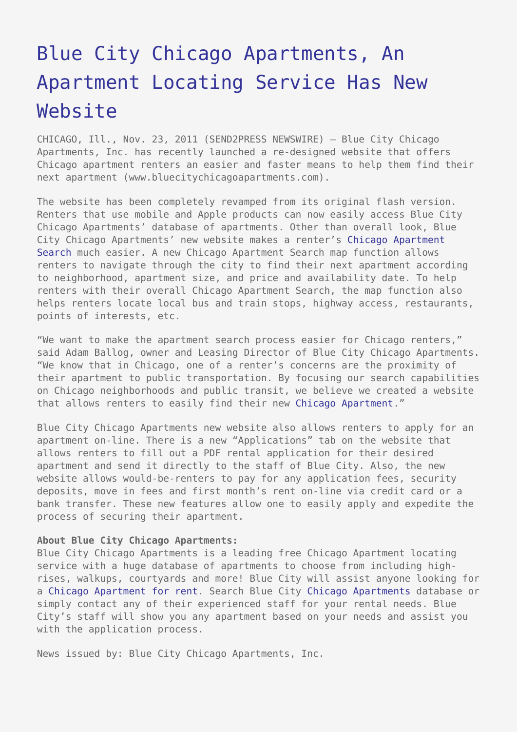## [Blue City Chicago Apartments, An](https://www.send2press.com/wire/2011-11-1123-002/) [Apartment Locating Service Has New](https://www.send2press.com/wire/2011-11-1123-002/) [Website](https://www.send2press.com/wire/2011-11-1123-002/)

CHICAGO, Ill., Nov. 23, 2011 (SEND2PRESS NEWSWIRE) — Blue City Chicago Apartments, Inc. has recently launched a re-designed website that offers Chicago apartment renters an easier and faster means to help them find their next apartment (www.bluecitychicagoapartments.com).

The website has been completely revamped from its original flash version. Renters that use mobile and Apple products can now easily access Blue City Chicago Apartments' database of apartments. Other than overall look, Blue City Chicago Apartments' new website makes a renter's [Chicago Apartment](http://www.bluecitychicagoapartments.com/Apartment-Search.html) [Search](http://www.bluecitychicagoapartments.com/Apartment-Search.html) much easier. A new Chicago Apartment Search map function allows renters to navigate through the city to find their next apartment according to neighborhood, apartment size, and price and availability date. To help renters with their overall Chicago Apartment Search, the map function also helps renters locate local bus and train stops, highway access, restaurants, points of interests, etc.

"We want to make the apartment search process easier for Chicago renters," said Adam Ballog, owner and Leasing Director of Blue City Chicago Apartments. "We know that in Chicago, one of a renter's concerns are the proximity of their apartment to public transportation. By focusing our search capabilities on Chicago neighborhoods and public transit, we believe we created a website that allows renters to easily find their new [Chicago Apartment](http://bluecitychicagoapartments.com/)."

Blue City Chicago Apartments new website also allows renters to apply for an apartment on-line. There is a new "Applications" tab on the website that allows renters to fill out a PDF rental application for their desired apartment and send it directly to the staff of Blue City. Also, the new website allows would-be-renters to pay for any application fees, security deposits, move in fees and first month's rent on-line via credit card or a bank transfer. These new features allow one to easily apply and expedite the process of securing their apartment.

## **About Blue City Chicago Apartments:**

Blue City Chicago Apartments is a leading free Chicago Apartment locating service with a huge database of apartments to choose from including highrises, walkups, courtyards and more! Blue City will assist anyone looking for a [Chicago Apartment for rent.](http://bluecitychicagoapartments.com/) Search Blue City [Chicago Apartments](http://bluecitychicagoapartments.com/) database or simply contact any of their experienced staff for your rental needs. Blue City's staff will show you any apartment based on your needs and assist you with the application process.

News issued by: Blue City Chicago Apartments, Inc.